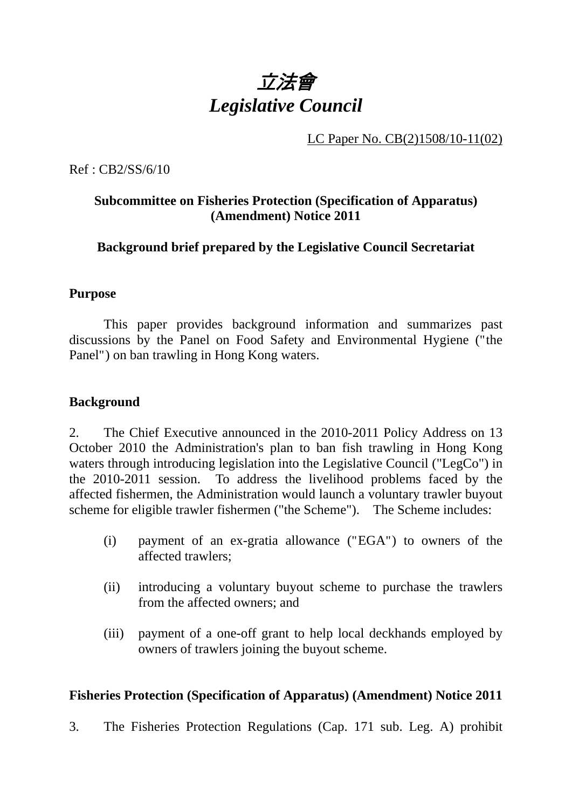

LC Paper No. CB(2)1508/10-11(02)

Ref : CB2/SS/6/10

# **Subcommittee on Fisheries Protection (Specification of Apparatus) (Amendment) Notice 2011**

**Background brief prepared by the Legislative Council Secretariat** 

#### **Purpose**

 This paper provides background information and summarizes past discussions by the Panel on Food Safety and Environmental Hygiene ("the Panel") on ban trawling in Hong Kong waters.

### **Background**

2. The Chief Executive announced in the 2010-2011 Policy Address on 13 October 2010 the Administration's plan to ban fish trawling in Hong Kong waters through introducing legislation into the Legislative Council ("LegCo") in the 2010-2011 session. To address the livelihood problems faced by the affected fishermen, the Administration would launch a voluntary trawler buyout scheme for eligible trawler fishermen ("the Scheme"). The Scheme includes:

- (i) payment of an ex-gratia allowance ("EGA") to owners of the affected trawlers;
- (ii) introducing a voluntary buyout scheme to purchase the trawlers from the affected owners; and
- (iii) payment of a one-off grant to help local deckhands employed by owners of trawlers joining the buyout scheme.

### **Fisheries Protection (Specification of Apparatus) (Amendment) Notice 2011**

3. The Fisheries Protection Regulations (Cap. 171 sub. Leg. A) prohibit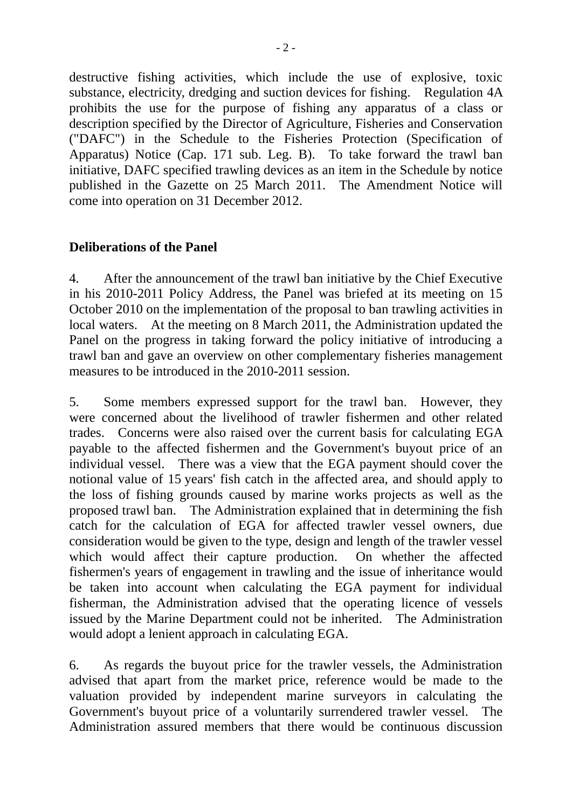destructive fishing activities, which include the use of explosive, toxic substance, electricity, dredging and suction devices for fishing. Regulation 4A prohibits the use for the purpose of fishing any apparatus of a class or description specified by the Director of Agriculture, Fisheries and Conservation ("DAFC") in the Schedule to the Fisheries Protection (Specification of Apparatus) Notice (Cap. 171 sub. Leg. B). To take forward the trawl ban initiative, DAFC specified trawling devices as an item in the Schedule by notice published in the Gazette on 25 March 2011. The Amendment Notice will come into operation on 31 December 2012.

# **Deliberations of the Panel**

4. After the announcement of the trawl ban initiative by the Chief Executive in his 2010-2011 Policy Address, the Panel was briefed at its meeting on 15 October 2010 on the implementation of the proposal to ban trawling activities in local waters. At the meeting on 8 March 2011, the Administration updated the Panel on the progress in taking forward the policy initiative of introducing a trawl ban and gave an overview on other complementary fisheries management measures to be introduced in the 2010-2011 session.

5. Some members expressed support for the trawl ban. However, they were concerned about the livelihood of trawler fishermen and other related trades. Concerns were also raised over the current basis for calculating EGA payable to the affected fishermen and the Government's buyout price of an individual vessel. There was a view that the EGA payment should cover the notional value of 15 years' fish catch in the affected area, and should apply to the loss of fishing grounds caused by marine works projects as well as the proposed trawl ban. The Administration explained that in determining the fish catch for the calculation of EGA for affected trawler vessel owners, due consideration would be given to the type, design and length of the trawler vessel which would affect their capture production. On whether the affected fishermen's years of engagement in trawling and the issue of inheritance would be taken into account when calculating the EGA payment for individual fisherman, the Administration advised that the operating licence of vessels issued by the Marine Department could not be inherited. The Administration would adopt a lenient approach in calculating EGA.

6. As regards the buyout price for the trawler vessels, the Administration advised that apart from the market price, reference would be made to the valuation provided by independent marine surveyors in calculating the Government's buyout price of a voluntarily surrendered trawler vessel. The Administration assured members that there would be continuous discussion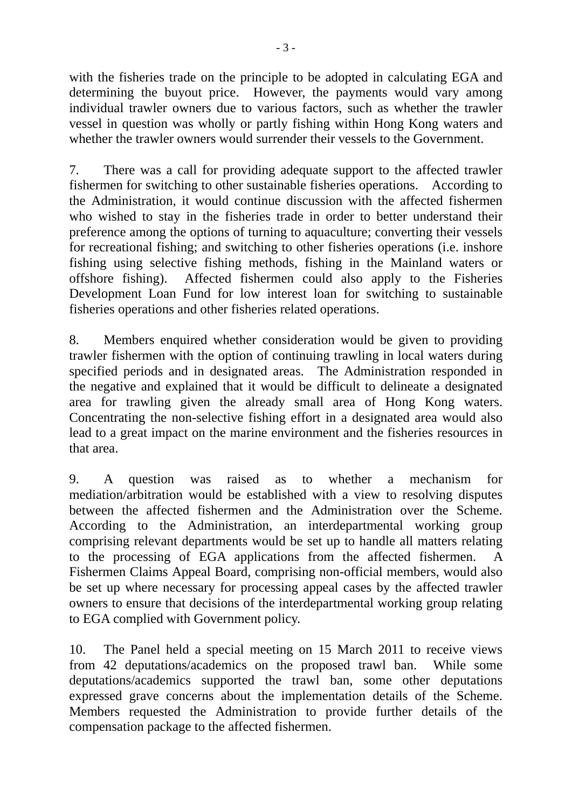with the fisheries trade on the principle to be adopted in calculating EGA and determining the buyout price. However, the payments would vary among individual trawler owners due to various factors, such as whether the trawler vessel in question was wholly or partly fishing within Hong Kong waters and whether the trawler owners would surrender their vessels to the Government.

7. There was a call for providing adequate support to the affected trawler fishermen for switching to other sustainable fisheries operations. According to the Administration, it would continue discussion with the affected fishermen who wished to stay in the fisheries trade in order to better understand their preference among the options of turning to aquaculture; converting their vessels for recreational fishing; and switching to other fisheries operations (i.e. inshore fishing using selective fishing methods, fishing in the Mainland waters or offshore fishing). Affected fishermen could also apply to the Fisheries Development Loan Fund for low interest loan for switching to sustainable fisheries operations and other fisheries related operations.

8. Members enquired whether consideration would be given to providing trawler fishermen with the option of continuing trawling in local waters during specified periods and in designated areas. The Administration responded in the negative and explained that it would be difficult to delineate a designated area for trawling given the already small area of Hong Kong waters. Concentrating the non-selective fishing effort in a designated area would also lead to a great impact on the marine environment and the fisheries resources in that area.

9. A question was raised as to whether a mechanism for mediation/arbitration would be established with a view to resolving disputes between the affected fishermen and the Administration over the Scheme. According to the Administration, an interdepartmental working group comprising relevant departments would be set up to handle all matters relating to the processing of EGA applications from the affected fishermen. A Fishermen Claims Appeal Board, comprising non-official members, would also be set up where necessary for processing appeal cases by the affected trawler owners to ensure that decisions of the interdepartmental working group relating to EGA complied with Government policy.

10. The Panel held a special meeting on 15 March 2011 to receive views from 42 deputations/academics on the proposed trawl ban. While some deputations/academics supported the trawl ban, some other deputations expressed grave concerns about the implementation details of the Scheme. Members requested the Administration to provide further details of the compensation package to the affected fishermen.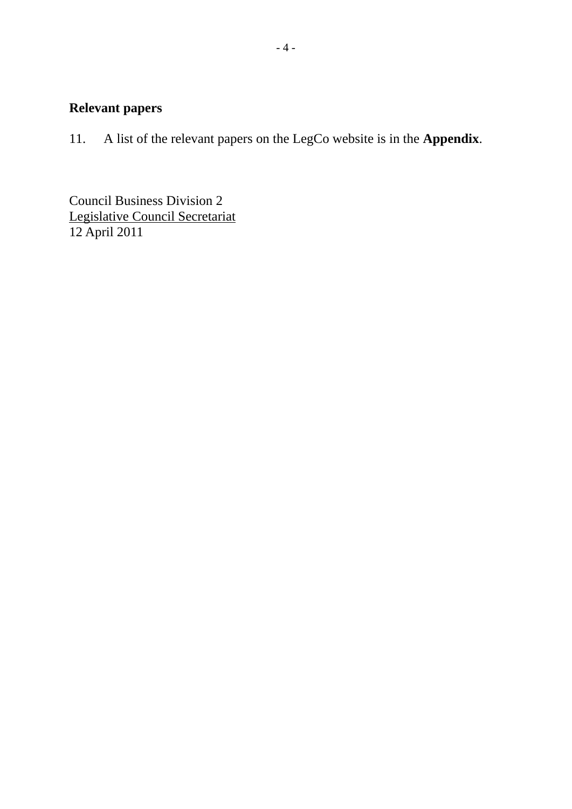# **Relevant papers**

11. A list of the relevant papers on the LegCo website is in the **Appendix**.

Council Business Division 2 Legislative Council Secretariat 12 April 2011